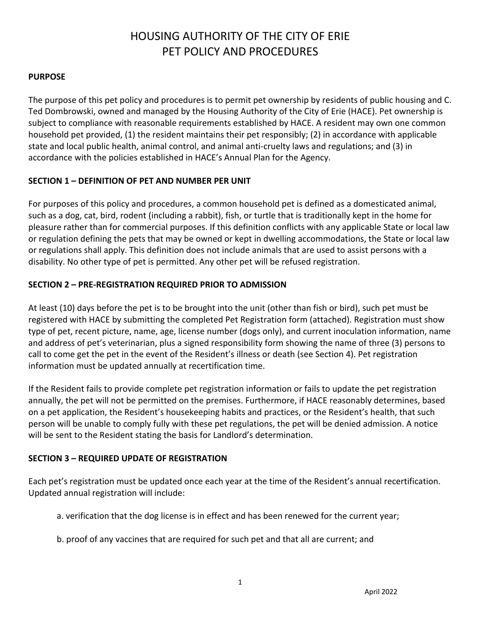# HOUSING AUTHORITY OF THE CITY OF ERIE PET POLICY AND PROCEDURES

#### **PURPOSE**

The purpose of this pet policy and procedures is to permit pet ownership by residents of public housing and C. Ted Dombrowski, owned and managed by the Housing Authority of the City of Erie (HACE). Pet ownership is subject to compliance with reasonable requirements established by HACE. A resident may own one common household pet provided, (1) the resident maintains their pet responsibly; (2) in accordance with applicable state and local public health, animal control, and animal anti-cruelty laws and regulations; and (3) in accordance with the policies established in HACE's Annual Plan for the Agency.

#### **SECTION 1 – DEFINITION OF PET AND NUMBER PER UNIT**

For purposes of this policy and procedures, a common household pet is defined as a domesticated animal, such as a dog, cat, bird, rodent (including a rabbit), fish, or turtle that is traditionally kept in the home for pleasure rather than for commercial purposes. If this definition conflicts with any applicable State or local law or regulation defining the pets that may be owned or kept in dwelling accommodations, the State or local law or regulations shall apply. This definition does not include animals that are used to assist persons with a disability. No other type of pet is permitted. Any other pet will be refused registration.

## **SECTION 2 – PRE-REGISTRATION REQUIRED PRIOR TO ADMISSION**

At least (10) days before the pet is to be brought into the unit (other than fish or bird), such pet must be registered with HACE by submitting the completed Pet Registration form (attached). Registration must show type of pet, recent picture, name, age, license number (dogs only), and current inoculation information, name and address of pet's veterinarian, plus a signed responsibility form showing the name of three (3) persons to call to come get the pet in the event of the Resident's illness or death (see Section 4). Pet registration information must be updated annually at recertification time.

If the Resident fails to provide complete pet registration information or fails to update the pet registration annually, the pet will not be permitted on the premises. Furthermore, if HACE reasonably determines, based on a pet application, the Resident's housekeeping habits and practices, or the Resident's health, that such person will be unable to comply fully with these pet regulations, the pet will be denied admission. A notice will be sent to the Resident stating the basis for Landlord's determination.

#### **SECTION 3 – REQUIRED UPDATE OF REGISTRATION**

Each pet's registration must be updated once each year at the time of the Resident's annual recertification. Updated annual registration will include:

- a. verification that the dog license is in effect and has been renewed for the current year;
- b. proof of any vaccines that are required for such pet and that all are current; and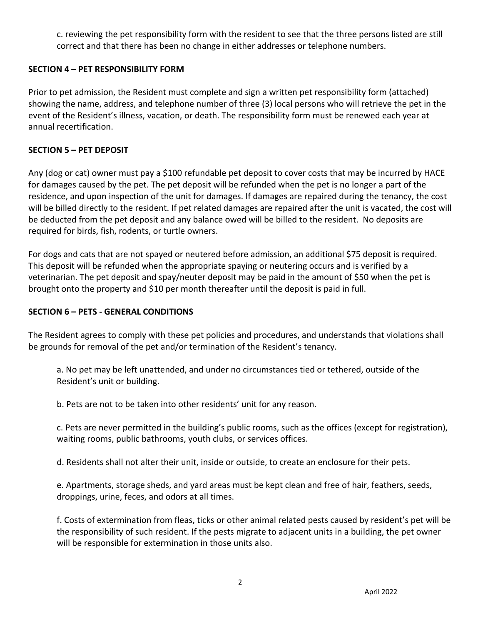c. reviewing the pet responsibility form with the resident to see that the three persons listed are still correct and that there has been no change in either addresses or telephone numbers.

## **SECTION 4 – PET RESPONSIBILITY FORM**

Prior to pet admission, the Resident must complete and sign a written pet responsibility form (attached) showing the name, address, and telephone number of three (3) local persons who will retrieve the pet in the event of the Resident's illness, vacation, or death. The responsibility form must be renewed each year at annual recertification.

## **SECTION 5 – PET DEPOSIT**

Any (dog or cat) owner must pay a \$100 refundable pet deposit to cover costs that may be incurred by HACE for damages caused by the pet. The pet deposit will be refunded when the pet is no longer a part of the residence, and upon inspection of the unit for damages. If damages are repaired during the tenancy, the cost will be billed directly to the resident. If pet related damages are repaired after the unit is vacated, the cost will be deducted from the pet deposit and any balance owed will be billed to the resident. No deposits are required for birds, fish, rodents, or turtle owners.

For dogs and cats that are not spayed or neutered before admission, an additional \$75 deposit is required. This deposit will be refunded when the appropriate spaying or neutering occurs and is verified by a veterinarian. The pet deposit and spay/neuter deposit may be paid in the amount of \$50 when the pet is brought onto the property and \$10 per month thereafter until the deposit is paid in full.

## **SECTION 6 – PETS - GENERAL CONDITIONS**

The Resident agrees to comply with these pet policies and procedures, and understands that violations shall be grounds for removal of the pet and/or termination of the Resident's tenancy.

a. No pet may be left unattended, and under no circumstances tied or tethered, outside of the Resident's unit or building.

b. Pets are not to be taken into other residents' unit for any reason.

c. Pets are never permitted in the building's public rooms, such as the offices (except for registration), waiting rooms, public bathrooms, youth clubs, or services offices.

d. Residents shall not alter their unit, inside or outside, to create an enclosure for their pets.

e. Apartments, storage sheds, and yard areas must be kept clean and free of hair, feathers, seeds, droppings, urine, feces, and odors at all times.

f. Costs of extermination from fleas, ticks or other animal related pests caused by resident's pet will be the responsibility of such resident. If the pests migrate to adjacent units in a building, the pet owner will be responsible for extermination in those units also.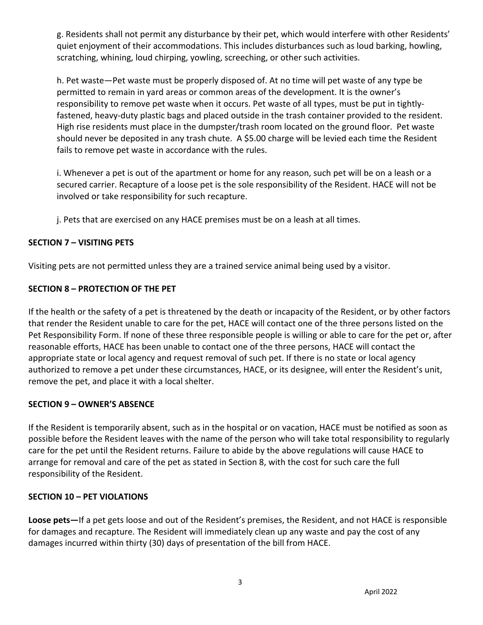g. Residents shall not permit any disturbance by their pet, which would interfere with other Residents' quiet enjoyment of their accommodations. This includes disturbances such as loud barking, howling, scratching, whining, loud chirping, yowling, screeching, or other such activities.

h. Pet waste—Pet waste must be properly disposed of. At no time will pet waste of any type be permitted to remain in yard areas or common areas of the development. It is the owner's responsibility to remove pet waste when it occurs. Pet waste of all types, must be put in tightlyfastened, heavy-duty plastic bags and placed outside in the trash container provided to the resident. High rise residents must place in the dumpster/trash room located on the ground floor. Pet waste should never be deposited in any trash chute. A \$5.00 charge will be levied each time the Resident fails to remove pet waste in accordance with the rules.

i. Whenever a pet is out of the apartment or home for any reason, such pet will be on a leash or a secured carrier. Recapture of a loose pet is the sole responsibility of the Resident. HACE will not be involved or take responsibility for such recapture.

j. Pets that are exercised on any HACE premises must be on a leash at all times.

## **SECTION 7 – VISITING PETS**

Visiting pets are not permitted unless they are a trained service animal being used by a visitor.

## **SECTION 8 – PROTECTION OF THE PET**

If the health or the safety of a pet is threatened by the death or incapacity of the Resident, or by other factors that render the Resident unable to care for the pet, HACE will contact one of the three persons listed on the Pet Responsibility Form. If none of these three responsible people is willing or able to care for the pet or, after reasonable efforts, HACE has been unable to contact one of the three persons, HACE will contact the appropriate state or local agency and request removal of such pet. If there is no state or local agency authorized to remove a pet under these circumstances, HACE, or its designee, will enter the Resident's unit, remove the pet, and place it with a local shelter.

## **SECTION 9 – OWNER'S ABSENCE**

If the Resident is temporarily absent, such as in the hospital or on vacation, HACE must be notified as soon as possible before the Resident leaves with the name of the person who will take total responsibility to regularly care for the pet until the Resident returns. Failure to abide by the above regulations will cause HACE to arrange for removal and care of the pet as stated in Section 8, with the cost for such care the full responsibility of the Resident.

#### **SECTION 10 – PET VIOLATIONS**

**Loose pets—**If a pet gets loose and out of the Resident's premises, the Resident, and not HACE is responsible for damages and recapture. The Resident will immediately clean up any waste and pay the cost of any damages incurred within thirty (30) days of presentation of the bill from HACE.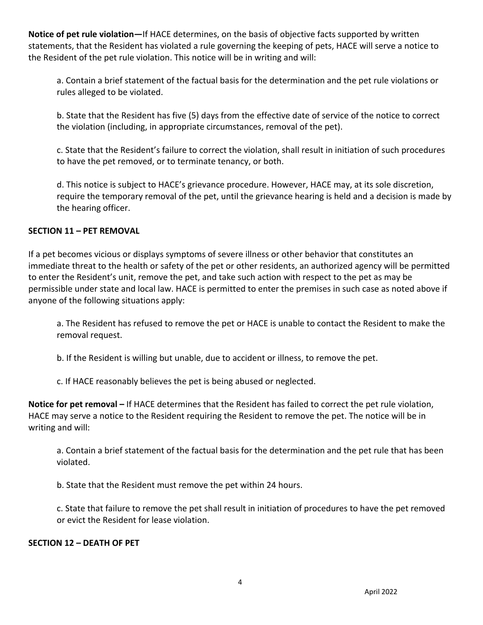**Notice of pet rule violation—**If HACE determines, on the basis of objective facts supported by written statements, that the Resident has violated a rule governing the keeping of pets, HACE will serve a notice to the Resident of the pet rule violation. This notice will be in writing and will:

a. Contain a brief statement of the factual basis for the determination and the pet rule violations or rules alleged to be violated.

b. State that the Resident has five (5) days from the effective date of service of the notice to correct the violation (including, in appropriate circumstances, removal of the pet).

c. State that the Resident's failure to correct the violation, shall result in initiation of such procedures to have the pet removed, or to terminate tenancy, or both.

d. This notice is subject to HACE's grievance procedure. However, HACE may, at its sole discretion, require the temporary removal of the pet, until the grievance hearing is held and a decision is made by the hearing officer.

## **SECTION 11 – PET REMOVAL**

If a pet becomes vicious or displays symptoms of severe illness or other behavior that constitutes an immediate threat to the health or safety of the pet or other residents, an authorized agency will be permitted to enter the Resident's unit, remove the pet, and take such action with respect to the pet as may be permissible under state and local law. HACE is permitted to enter the premises in such case as noted above if anyone of the following situations apply:

a. The Resident has refused to remove the pet or HACE is unable to contact the Resident to make the removal request.

b. If the Resident is willing but unable, due to accident or illness, to remove the pet.

c. If HACE reasonably believes the pet is being abused or neglected.

**Notice for pet removal –** If HACE determines that the Resident has failed to correct the pet rule violation, HACE may serve a notice to the Resident requiring the Resident to remove the pet. The notice will be in writing and will:

a. Contain a brief statement of the factual basis for the determination and the pet rule that has been violated.

b. State that the Resident must remove the pet within 24 hours.

c. State that failure to remove the pet shall result in initiation of procedures to have the pet removed or evict the Resident for lease violation.

#### **SECTION 12 – DEATH OF PET**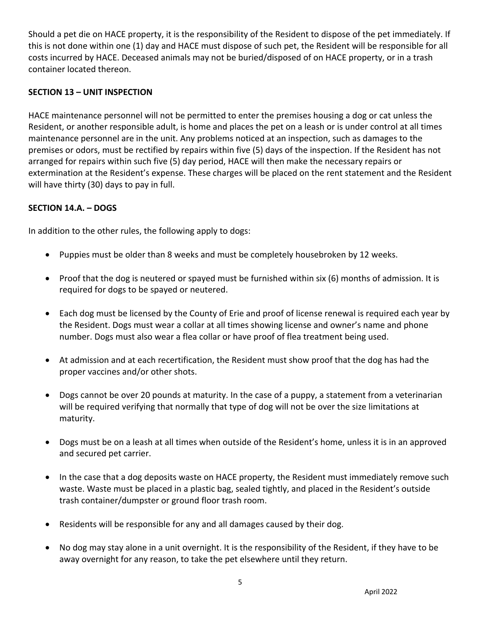Should a pet die on HACE property, it is the responsibility of the Resident to dispose of the pet immediately. If this is not done within one (1) day and HACE must dispose of such pet, the Resident will be responsible for all costs incurred by HACE. Deceased animals may not be buried/disposed of on HACE property, or in a trash container located thereon.

## **SECTION 13 – UNIT INSPECTION**

HACE maintenance personnel will not be permitted to enter the premises housing a dog or cat unless the Resident, or another responsible adult, is home and places the pet on a leash or is under control at all times maintenance personnel are in the unit. Any problems noticed at an inspection, such as damages to the premises or odors, must be rectified by repairs within five (5) days of the inspection. If the Resident has not arranged for repairs within such five (5) day period, HACE will then make the necessary repairs or extermination at the Resident's expense. These charges will be placed on the rent statement and the Resident will have thirty (30) days to pay in full.

## **SECTION 14.A. – DOGS**

In addition to the other rules, the following apply to dogs:

- Puppies must be older than 8 weeks and must be completely housebroken by 12 weeks.
- Proof that the dog is neutered or spayed must be furnished within six (6) months of admission. It is required for dogs to be spayed or neutered.
- Each dog must be licensed by the County of Erie and proof of license renewal is required each year by the Resident. Dogs must wear a collar at all times showing license and owner's name and phone number. Dogs must also wear a flea collar or have proof of flea treatment being used.
- At admission and at each recertification, the Resident must show proof that the dog has had the proper vaccines and/or other shots.
- Dogs cannot be over 20 pounds at maturity. In the case of a puppy, a statement from a veterinarian will be required verifying that normally that type of dog will not be over the size limitations at maturity.
- Dogs must be on a leash at all times when outside of the Resident's home, unless it is in an approved and secured pet carrier.
- In the case that a dog deposits waste on HACE property, the Resident must immediately remove such waste. Waste must be placed in a plastic bag, sealed tightly, and placed in the Resident's outside trash container/dumpster or ground floor trash room.
- Residents will be responsible for any and all damages caused by their dog.
- No dog may stay alone in a unit overnight. It is the responsibility of the Resident, if they have to be away overnight for any reason, to take the pet elsewhere until they return.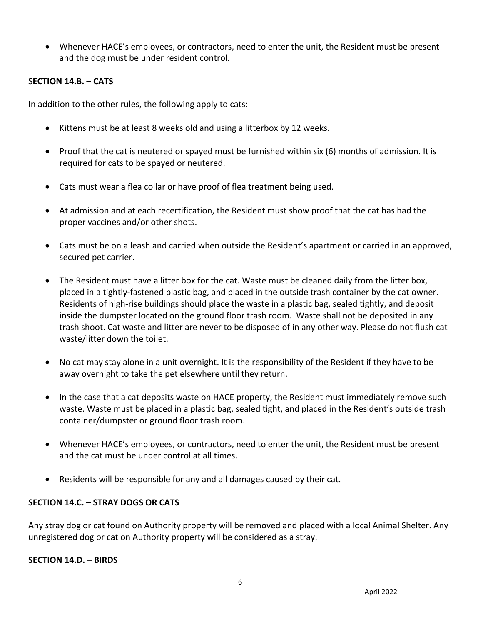• Whenever HACE's employees, or contractors, need to enter the unit, the Resident must be present and the dog must be under resident control.

#### S**ECTION 14.B. – CATS**

In addition to the other rules, the following apply to cats:

- Kittens must be at least 8 weeks old and using a litterbox by 12 weeks.
- Proof that the cat is neutered or spayed must be furnished within six (6) months of admission. It is required for cats to be spayed or neutered.
- Cats must wear a flea collar or have proof of flea treatment being used.
- At admission and at each recertification, the Resident must show proof that the cat has had the proper vaccines and/or other shots.
- Cats must be on a leash and carried when outside the Resident's apartment or carried in an approved, secured pet carrier.
- The Resident must have a litter box for the cat. Waste must be cleaned daily from the litter box, placed in a tightly-fastened plastic bag, and placed in the outside trash container by the cat owner. Residents of high-rise buildings should place the waste in a plastic bag, sealed tightly, and deposit inside the dumpster located on the ground floor trash room. Waste shall not be deposited in any trash shoot. Cat waste and litter are never to be disposed of in any other way. Please do not flush cat waste/litter down the toilet.
- No cat may stay alone in a unit overnight. It is the responsibility of the Resident if they have to be away overnight to take the pet elsewhere until they return.
- In the case that a cat deposits waste on HACE property, the Resident must immediately remove such waste. Waste must be placed in a plastic bag, sealed tight, and placed in the Resident's outside trash container/dumpster or ground floor trash room.
- Whenever HACE's employees, or contractors, need to enter the unit, the Resident must be present and the cat must be under control at all times.
- Residents will be responsible for any and all damages caused by their cat.

## **SECTION 14.C. – STRAY DOGS OR CATS**

Any stray dog or cat found on Authority property will be removed and placed with a local Animal Shelter. Any unregistered dog or cat on Authority property will be considered as a stray.

#### **SECTION 14.D. – BIRDS**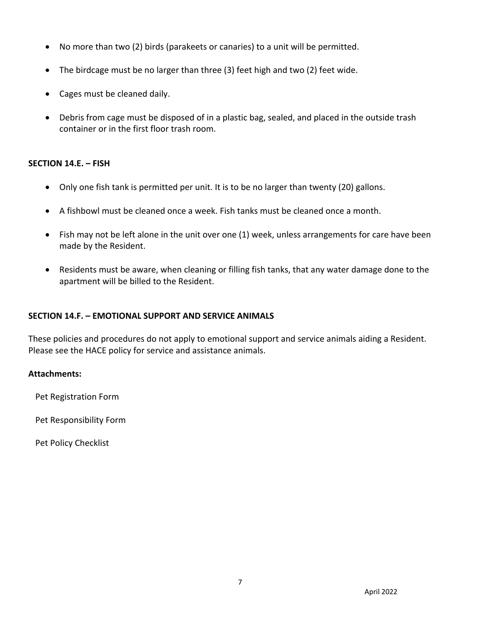- No more than two (2) birds (parakeets or canaries) to a unit will be permitted.
- The birdcage must be no larger than three (3) feet high and two (2) feet wide.
- Cages must be cleaned daily.
- Debris from cage must be disposed of in a plastic bag, sealed, and placed in the outside trash container or in the first floor trash room.

## **SECTION 14.E. – FISH**

- Only one fish tank is permitted per unit. It is to be no larger than twenty (20) gallons.
- A fishbowl must be cleaned once a week. Fish tanks must be cleaned once a month.
- Fish may not be left alone in the unit over one (1) week, unless arrangements for care have been made by the Resident.
- Residents must be aware, when cleaning or filling fish tanks, that any water damage done to the apartment will be billed to the Resident.

## **SECTION 14.F. – EMOTIONAL SUPPORT AND SERVICE ANIMALS**

These policies and procedures do not apply to emotional support and service animals aiding a Resident. Please see the HACE policy for service and assistance animals.

## **Attachments:**

Pet Registration Form

Pet Responsibility Form

Pet Policy Checklist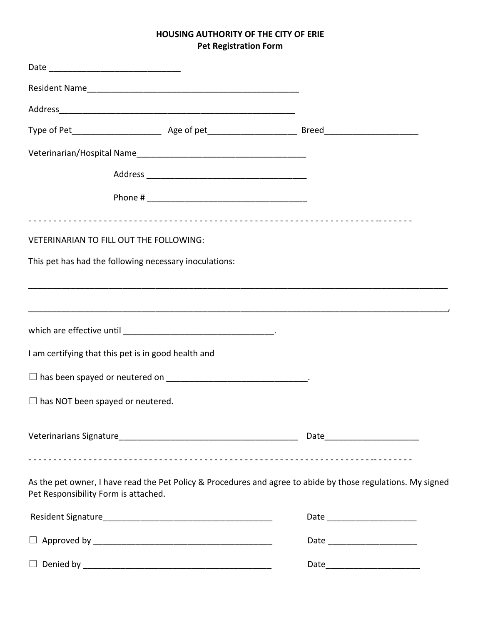## **HOUSING AUTHORITY OF THE CITY OF ERIE Pet Registration Form**

| VETERINARIAN TO FILL OUT THE FOLLOWING:             |                                                        |                                                                                                              |
|-----------------------------------------------------|--------------------------------------------------------|--------------------------------------------------------------------------------------------------------------|
|                                                     | This pet has had the following necessary inoculations: |                                                                                                              |
|                                                     |                                                        |                                                                                                              |
|                                                     |                                                        |                                                                                                              |
| I am certifying that this pet is in good health and |                                                        |                                                                                                              |
|                                                     |                                                        |                                                                                                              |
| $\Box$ has NOT been spayed or neutered.             |                                                        |                                                                                                              |
|                                                     |                                                        |                                                                                                              |
| Pet Responsibility Form is attached.                |                                                        | As the pet owner, I have read the Pet Policy & Procedures and agree to abide by those regulations. My signed |
|                                                     |                                                        | Date ________________________                                                                                |
|                                                     |                                                        | Date _________________________                                                                               |

☐ Denied by \_\_\_\_\_\_\_\_\_\_\_\_\_\_\_\_\_\_\_\_\_\_\_\_\_\_\_\_\_\_\_\_\_\_\_\_\_\_\_\_ Date\_\_\_\_\_\_\_\_\_\_\_\_\_\_\_\_\_\_\_\_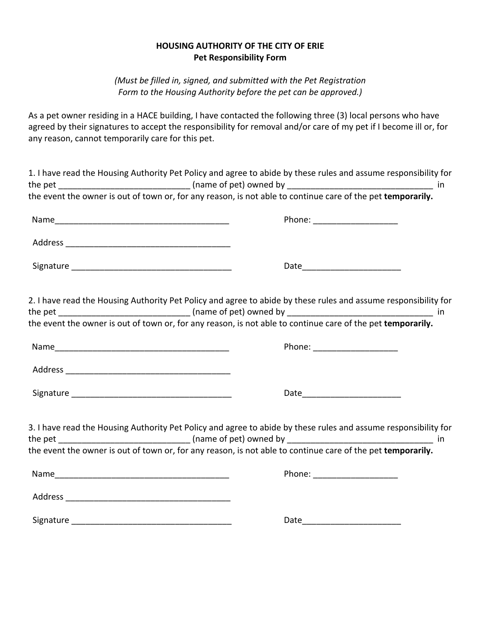#### **HOUSING AUTHORITY OF THE CITY OF ERIE Pet Responsibility Form**

*(Must be filled in, signed, and submitted with the Pet Registration Form to the Housing Authority before the pet can be approved.)*

As a pet owner residing in a HACE building, I have contacted the following three (3) local persons who have agreed by their signatures to accept the responsibility for removal and/or care of my pet if I become ill or, for any reason, cannot temporarily care for this pet.

| 1. I have read the Housing Authority Pet Policy and agree to abide by these rules and assume responsibility for |
|-----------------------------------------------------------------------------------------------------------------|
|                                                                                                                 |
| the event the owner is out of town or, for any reason, is not able to continue care of the pet temporarily.     |
|                                                                                                                 |
|                                                                                                                 |
|                                                                                                                 |
| 2. I have read the Housing Authority Pet Policy and agree to abide by these rules and assume responsibility for |
|                                                                                                                 |
| the event the owner is out of town or, for any reason, is not able to continue care of the pet temporarily.     |
| Phone: _______________________                                                                                  |
|                                                                                                                 |
| Date_____________________________                                                                               |
| 3. I have read the Housing Authority Pet Policy and agree to abide by these rules and assume responsibility for |
|                                                                                                                 |
| the event the owner is out of town or, for any reason, is not able to continue care of the pet temporarily.     |
|                                                                                                                 |
|                                                                                                                 |
|                                                                                                                 |